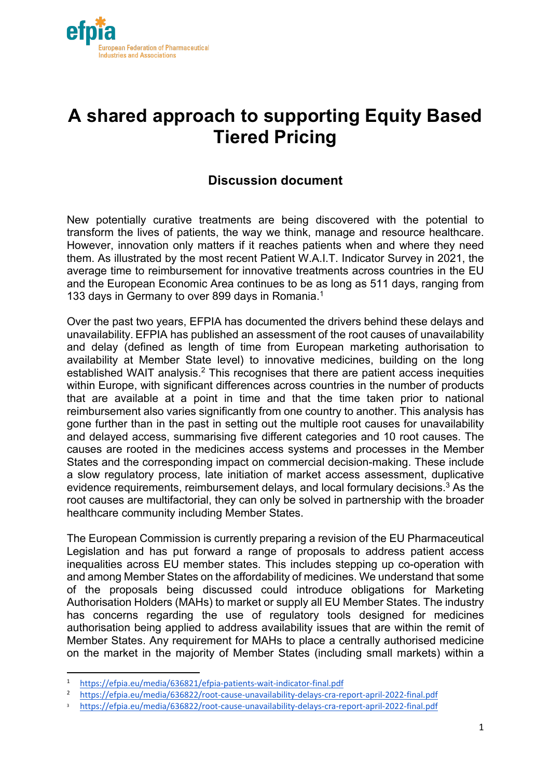

# **A shared approach to supporting Equity Based Tiered Pricing**

# **Discussion document**

New potentially curative treatments are being discovered with the potential to transform the lives of patients, the way we think, manage and resource healthcare. However, innovation only matters if it reaches patients when and where they need them. As illustrated by the most recent Patient W.A.I.T. Indicator Survey in 2021, the average time to reimbursement for innovative treatments across countries in the EU and the European Economic Area continues to be as long as 511 days, ranging from 133 days in Germany to over 899 days in Romania.<sup>1</sup>

Over the past two years, EFPIA has documented the drivers behind these delays and unavailability. EFPIA has published an assessment of the root causes of unavailability and delay (defined as length of time from European marketing authorisation to availability at Member State level) to innovative medicines, building on the long established WAIT analysis.<sup>2</sup> This recognises that there are patient access inequities within Europe, with significant differences across countries in the number of products that are available at a point in time and that the time taken prior to national reimbursement also varies significantly from one country to another. This analysis has gone further than in the past in setting out the multiple root causes for unavailability and delayed access, summarising five different categories and 10 root causes. The causes are rooted in the medicines access systems and processes in the Member States and the corresponding impact on commercial decision-making. These include a slow regulatory process, late initiation of market access assessment, duplicative evidence requirements, reimbursement delays, and local formulary decisions.3 As the root causes are multifactorial, they can only be solved in partnership with the broader healthcare community including Member States.

The European Commission is currently preparing a revision of the EU Pharmaceutical Legislation and has put forward a range of proposals to address patient access inequalities across EU member states. This includes stepping up co-operation with and among Member States on the affordability of medicines. We understand that some of the proposals being discussed could introduce obligations for Marketing Authorisation Holders (MAHs) to market or supply all EU Member States. The industry has concerns regarding the use of regulatory tools designed for medicines authorisation being applied to address availability issues that are within the remit of Member States. Any requirement for MAHs to place a centrally authorised medicine on the market in the majority of Member States (including small markets) within a

<sup>1</sup> https://efpia.eu/media/636821/efpia-patients-wait-indicator-final.pdf

<sup>2</sup> https://efpia.eu/media/636822/root-cause-unavailability-delays-cra-report-april-2022-final.pdf

<sup>3</sup> https://efpia.eu/media/636822/root-cause-unavailability-delays-cra-report-april-2022-final.pdf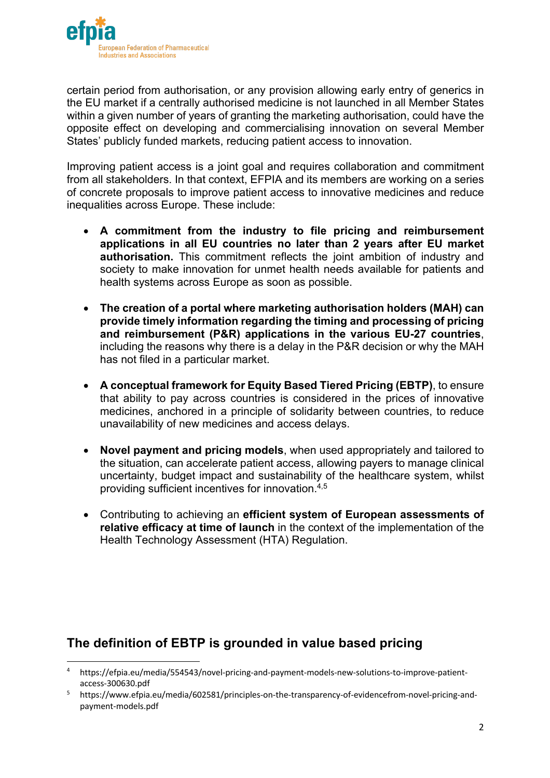

certain period from authorisation, or any provision allowing early entry of generics in the EU market if a centrally authorised medicine is not launched in all Member States within a given number of years of granting the marketing authorisation, could have the opposite effect on developing and commercialising innovation on several Member States' publicly funded markets, reducing patient access to innovation.

Improving patient access is a joint goal and requires collaboration and commitment from all stakeholders. In that context, EFPIA and its members are working on a series of concrete proposals to improve patient access to innovative medicines and reduce inequalities across Europe. These include:

- **A commitment from the industry to file pricing and reimbursement applications in all EU countries no later than 2 years after EU market authorisation.** This commitment reflects the joint ambition of industry and society to make innovation for unmet health needs available for patients and health systems across Europe as soon as possible.
- **The creation of a portal where marketing authorisation holders (MAH) can provide timely information regarding the timing and processing of pricing and reimbursement (P&R) applications in the various EU-27 countries**, including the reasons why there is a delay in the P&R decision or why the MAH has not filed in a particular market.
- **A conceptual framework for Equity Based Tiered Pricing (EBTP)**, to ensure that ability to pay across countries is considered in the prices of innovative medicines, anchored in a principle of solidarity between countries, to reduce unavailability of new medicines and access delays.
- **Novel payment and pricing models**, when used appropriately and tailored to the situation, can accelerate patient access, allowing payers to manage clinical uncertainty, budget impact and sustainability of the healthcare system, whilst providing sufficient incentives for innovation.4,5
- Contributing to achieving an **efficient system of European assessments of relative efficacy at time of launch** in the context of the implementation of the Health Technology Assessment (HTA) Regulation.

## **The definition of EBTP is grounded in value based pricing**

<sup>4</sup> https://efpia.eu/media/554543/novel-pricing-and-payment-models-new-solutions-to-improve-patientaccess-300630.pdf

<sup>5</sup> https://www.efpia.eu/media/602581/principles-on-the-transparency-of-evidencefrom-novel-pricing-andpayment-models.pdf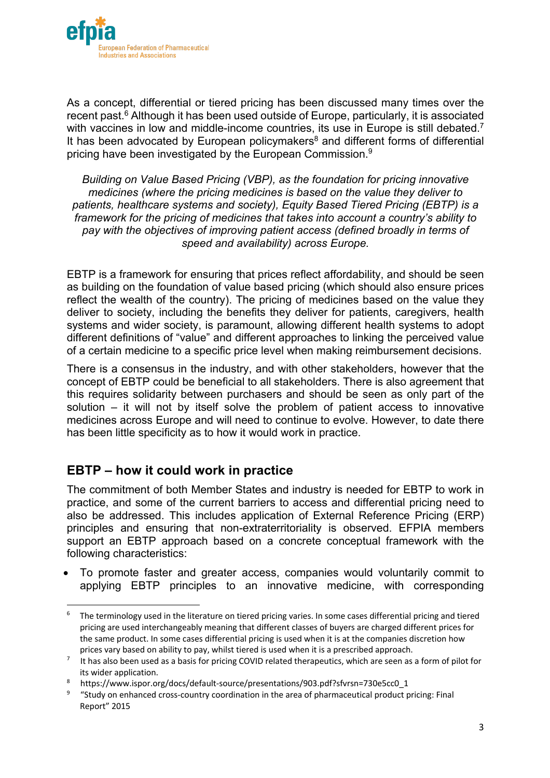

As a concept, differential or tiered pricing has been discussed many times over the recent past.<sup>6</sup> Although it has been used outside of Europe, particularly, it is associated with vaccines in low and middle-income countries, its use in Europe is still debated.<sup>7</sup> It has been advocated by European policymakers<sup>8</sup> and different forms of differential pricing have been investigated by the European Commission.9

*Building on Value Based Pricing (VBP), as the foundation for pricing innovative medicines (where the pricing medicines is based on the value they deliver to patients, healthcare systems and society), Equity Based Tiered Pricing (EBTP) is a framework for the pricing of medicines that takes into account a country's ability to pay with the objectives of improving patient access (defined broadly in terms of speed and availability) across Europe.*

EBTP is a framework for ensuring that prices reflect affordability, and should be seen as building on the foundation of value based pricing (which should also ensure prices reflect the wealth of the country). The pricing of medicines based on the value they deliver to society, including the benefits they deliver for patients, caregivers, health systems and wider society, is paramount, allowing different health systems to adopt different definitions of "value" and different approaches to linking the perceived value of a certain medicine to a specific price level when making reimbursement decisions.

There is a consensus in the industry, and with other stakeholders, however that the concept of EBTP could be beneficial to all stakeholders. There is also agreement that this requires solidarity between purchasers and should be seen as only part of the solution – it will not by itself solve the problem of patient access to innovative medicines across Europe and will need to continue to evolve. However, to date there has been little specificity as to how it would work in practice.

#### **EBTP – how it could work in practice**

The commitment of both Member States and industry is needed for EBTP to work in practice, and some of the current barriers to access and differential pricing need to also be addressed. This includes application of External Reference Pricing (ERP) principles and ensuring that non-extraterritoriality is observed. EFPIA members support an EBTP approach based on a concrete conceptual framework with the following characteristics:

• To promote faster and greater access, companies would voluntarily commit to applying EBTP principles to an innovative medicine, with corresponding

 $6$  The terminology used in the literature on tiered pricing varies. In some cases differential pricing and tiered pricing are used interchangeably meaning that different classes of buyers are charged different prices for the same product. In some cases differential pricing is used when it is at the companies discretion how prices vary based on ability to pay, whilst tiered is used when it is a prescribed approach.

 $7$  It has also been used as a basis for pricing COVID related therapeutics, which are seen as a form of pilot for its wider application.

<sup>8</sup> https://www.ispor.org/docs/default-source/presentations/903.pdf?sfvrsn=730e5cc0\_1

<sup>&</sup>lt;sup>9</sup> "Study on enhanced cross-country coordination in the area of pharmaceutical product pricing: Final Report" 2015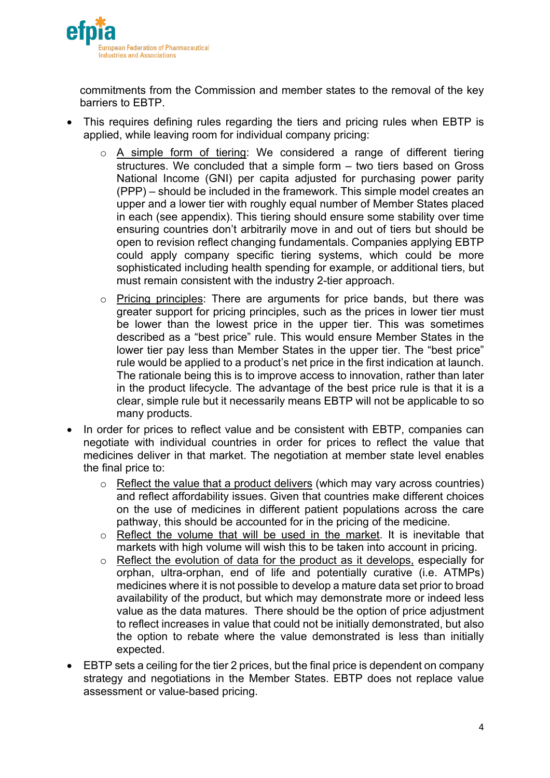

commitments from the Commission and member states to the removal of the key barriers to EBTP.

- This requires defining rules regarding the tiers and pricing rules when EBTP is applied, while leaving room for individual company pricing:
	- $\circ$  A simple form of tiering: We considered a range of different tiering structures. We concluded that a simple form – two tiers based on Gross National Income (GNI) per capita adjusted for purchasing power parity (PPP) – should be included in the framework. This simple model creates an upper and a lower tier with roughly equal number of Member States placed in each (see appendix). This tiering should ensure some stability over time ensuring countries don't arbitrarily move in and out of tiers but should be open to revision reflect changing fundamentals. Companies applying EBTP could apply company specific tiering systems, which could be more sophisticated including health spending for example, or additional tiers, but must remain consistent with the industry 2-tier approach.
	- o Pricing principles: There are arguments for price bands, but there was greater support for pricing principles, such as the prices in lower tier must be lower than the lowest price in the upper tier. This was sometimes described as a "best price" rule. This would ensure Member States in the lower tier pay less than Member States in the upper tier. The "best price" rule would be applied to a product's net price in the first indication at launch. The rationale being this is to improve access to innovation, rather than later in the product lifecycle. The advantage of the best price rule is that it is a clear, simple rule but it necessarily means EBTP will not be applicable to so many products.
- In order for prices to reflect value and be consistent with EBTP, companies can negotiate with individual countries in order for prices to reflect the value that medicines deliver in that market. The negotiation at member state level enables the final price to:
	- o Reflect the value that a product delivers (which may vary across countries) and reflect affordability issues. Given that countries make different choices on the use of medicines in different patient populations across the care pathway, this should be accounted for in the pricing of the medicine.
	- o Reflect the volume that will be used in the market. It is inevitable that markets with high volume will wish this to be taken into account in pricing.
	- o Reflect the evolution of data for the product as it develops, especially for orphan, ultra-orphan, end of life and potentially curative (i.e. ATMPs) medicines where it is not possible to develop a mature data set prior to broad availability of the product, but which may demonstrate more or indeed less value as the data matures. There should be the option of price adjustment to reflect increases in value that could not be initially demonstrated, but also the option to rebate where the value demonstrated is less than initially expected.
- EBTP sets a ceiling for the tier 2 prices, but the final price is dependent on company strategy and negotiations in the Member States. EBTP does not replace value assessment or value-based pricing.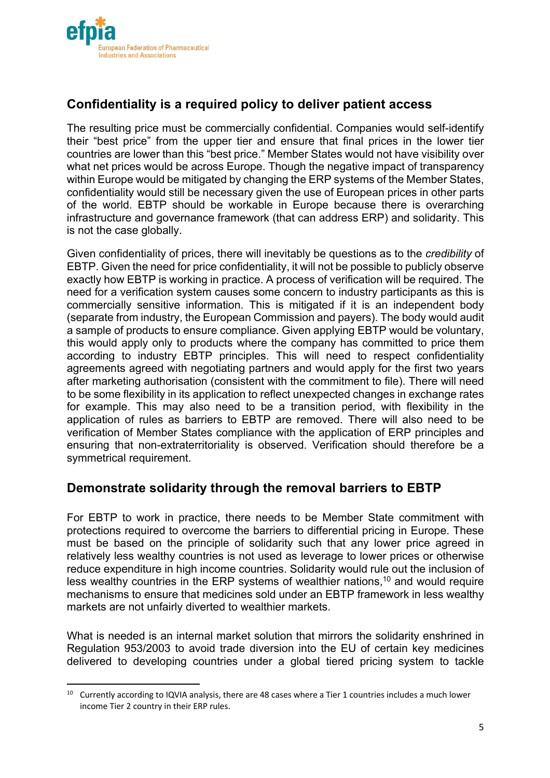

## **Confidentiality is a required policy to deliver patient access**

The resulting price must be commercially confidential. Companies would self-identify their "best price" from the upper tier and ensure that final prices in the lower tier countries are lower than this "best price." Member States would not have visibility over what net prices would be across Europe. Though the negative impact of transparency within Europe would be mitigated by changing the ERP systems of the Member States, confidentiality would still be necessary given the use of European prices in other parts of the world. EBTP should be workable in Europe because there is overarching infrastructure and governance framework (that can address ERP) and solidarity. This is not the case globally.

Given confidentiality of prices, there will inevitably be questions as to the *credibility* of EBTP. Given the need for price confidentiality, it will not be possible to publicly observe exactly how EBTP is working in practice. A process of verification will be required. The need for a verification system causes some concern to industry participants as this is commercially sensitive information. This is mitigated if it is an independent body (separate from industry, the European Commission and payers). The body would audit a sample of products to ensure compliance. Given applying EBTP would be voluntary, this would apply only to products where the company has committed to price them according to industry EBTP principles. This will need to respect confidentiality agreements agreed with negotiating partners and would apply for the first two years after marketing authorisation (consistent with the commitment to file). There will need to be some flexibility in its application to reflect unexpected changes in exchange rates for example. This may also need to be a transition period, with flexibility in the application of rules as barriers to EBTP are removed. There will also need to be verification of Member States compliance with the application of ERP principles and ensuring that non-extraterritoriality is observed. Verification should therefore be a symmetrical requirement.

#### **Demonstrate solidarity through the removal barriers to EBTP**

For EBTP to work in practice, there needs to be Member State commitment with protections required to overcome the barriers to differential pricing in Europe. These must be based on the principle of solidarity such that any lower price agreed in relatively less wealthy countries is not used as leverage to lower prices or otherwise reduce expenditure in high income countries. Solidarity would rule out the inclusion of less wealthy countries in the ERP systems of wealthier nations,<sup>10</sup> and would require mechanisms to ensure that medicines sold under an EBTP framework in less wealthy markets are not unfairly diverted to wealthier markets.

What is needed is an internal market solution that mirrors the solidarity enshrined in Regulation 953/2003 to avoid trade diversion into the EU of certain key medicines delivered to developing countries under a global tiered pricing system to tackle

<sup>&</sup>lt;sup>10</sup> Currently according to IQVIA analysis, there are 48 cases where a Tier 1 countries includes a much lower income Tier 2 country in their ERP rules.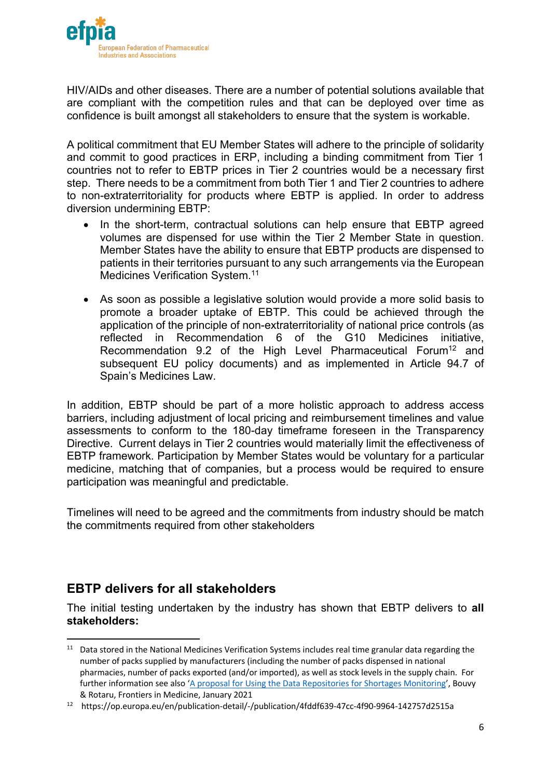

HIV/AIDs and other diseases. There are a number of potential solutions available that are compliant with the competition rules and that can be deployed over time as confidence is built amongst all stakeholders to ensure that the system is workable.

A political commitment that EU Member States will adhere to the principle of solidarity and commit to good practices in ERP, including a binding commitment from Tier 1 countries not to refer to EBTP prices in Tier 2 countries would be a necessary first step. There needs to be a commitment from both Tier 1 and Tier 2 countries to adhere to non-extraterritoriality for products where EBTP is applied. In order to address diversion undermining EBTP:

- In the short-term, contractual solutions can help ensure that EBTP agreed volumes are dispensed for use within the Tier 2 Member State in question. Member States have the ability to ensure that EBTP products are dispensed to patients in their territories pursuant to any such arrangements via the European Medicines Verification System.<sup>11</sup>
- As soon as possible a legislative solution would provide a more solid basis to promote a broader uptake of EBTP. This could be achieved through the application of the principle of non-extraterritoriality of national price controls (as reflected in Recommendation 6 of the G10 Medicines initiative, Recommendation 9.2 of the High Level Pharmaceutical Forum<sup>12</sup> and subsequent EU policy documents) and as implemented in Article 94.7 of Spain's Medicines Law.

In addition, EBTP should be part of a more holistic approach to address access barriers, including adjustment of local pricing and reimbursement timelines and value assessments to conform to the 180-day timeframe foreseen in the Transparency Directive. Current delays in Tier 2 countries would materially limit the effectiveness of EBTP framework. Participation by Member States would be voluntary for a particular medicine, matching that of companies, but a process would be required to ensure participation was meaningful and predictable.

Timelines will need to be agreed and the commitments from industry should be match the commitments required from other stakeholders

## **EBTP delivers for all stakeholders**

The initial testing undertaken by the industry has shown that EBTP delivers to **all stakeholders:**

<sup>&</sup>lt;sup>11</sup> Data stored in the National Medicines Verification Systems includes real time granular data regarding the number of packs supplied by manufacturers (including the number of packs dispensed in national pharmacies, number of packs exported (and/or imported), as well as stock levels in the supply chain. For further information see also 'A proposal for Using the Data Repositories for Shortages Monitoring', Bouvy & Rotaru, Frontiers in Medicine, January 2021

<sup>12</sup> https://op.europa.eu/en/publication-detail/-/publication/4fddf639-47cc-4f90-9964-142757d2515a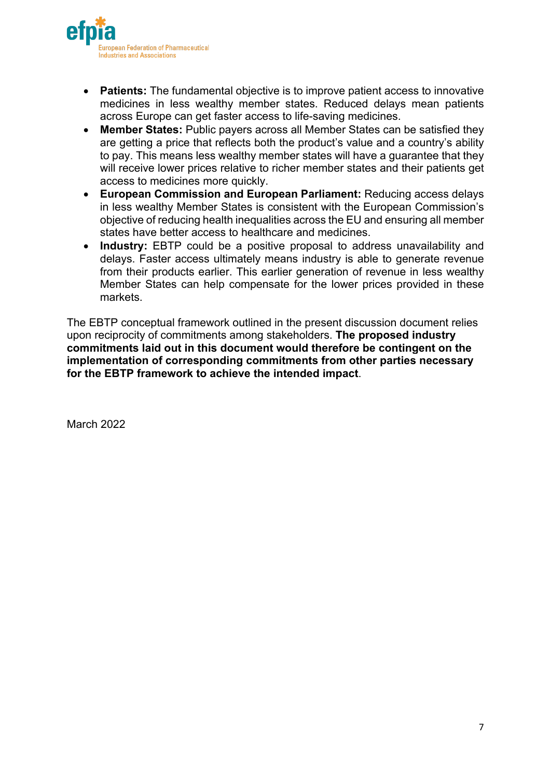

- **Patients:** The fundamental objective is to improve patient access to innovative medicines in less wealthy member states. Reduced delays mean patients across Europe can get faster access to life-saving medicines.
- **Member States:** Public payers across all Member States can be satisfied they are getting a price that reflects both the product's value and a country's ability to pay. This means less wealthy member states will have a guarantee that they will receive lower prices relative to richer member states and their patients get access to medicines more quickly.
- **European Commission and European Parliament:** Reducing access delays in less wealthy Member States is consistent with the European Commission's objective of reducing health inequalities across the EU and ensuring all member states have better access to healthcare and medicines.
- **Industry:** EBTP could be a positive proposal to address unavailability and delays. Faster access ultimately means industry is able to generate revenue from their products earlier. This earlier generation of revenue in less wealthy Member States can help compensate for the lower prices provided in these markets.

The EBTP conceptual framework outlined in the present discussion document relies upon reciprocity of commitments among stakeholders. **The proposed industry commitments laid out in this document would therefore be contingent on the implementation of corresponding commitments from other parties necessary for the EBTP framework to achieve the intended impact**.

March 2022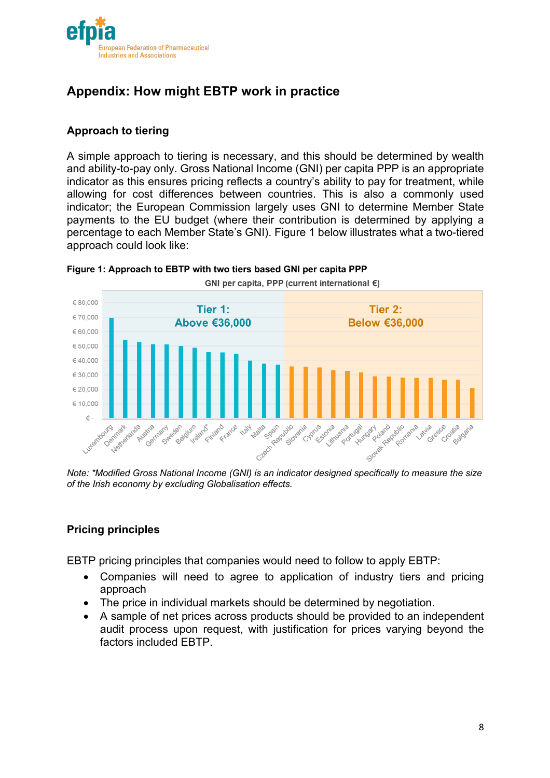

# **Appendix: How might EBTP work in practice**

#### **Approach to tiering**

A simple approach to tiering is necessary, and this should be determined by wealth and ability-to-pay only. Gross National Income (GNI) per capita PPP is an appropriate indicator as this ensures pricing reflects a country's ability to pay for treatment, while allowing for cost differences between countries. This is also a commonly used indicator; the European Commission largely uses GNI to determine Member State payments to the EU budget (where their contribution is determined by applying a percentage to each Member State's GNI). Figure 1 below illustrates what a two-tiered approach could look like:



**Figure 1: Approach to EBTP with two tiers based GNI per capita PPP**

*Note: \*Modified Gross National Income (GNI) is an indicator designed specifically to measure the size of the Irish economy by excluding Globalisation effects.*

#### **Pricing principles**

EBTP pricing principles that companies would need to follow to apply EBTP:

- Companies will need to agree to application of industry tiers and pricing approach
- The price in individual markets should be determined by negotiation.
- A sample of net prices across products should be provided to an independent audit process upon request, with justification for prices varying beyond the factors included EBTP.